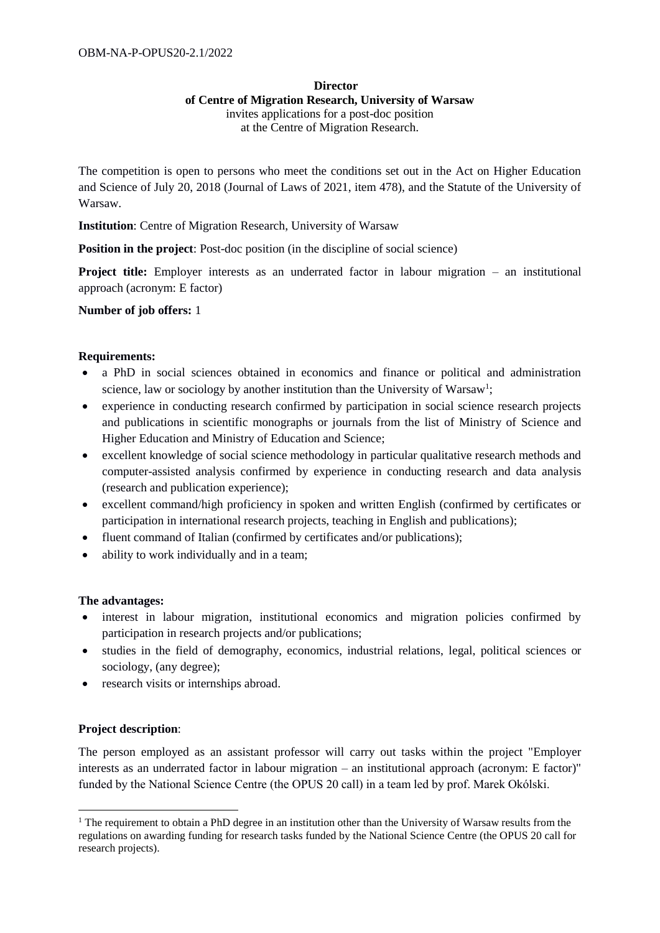# **Director of Centre of Migration Research, University of Warsaw** invites applications for a post-doc position

at the Centre of Migration Research.

The competition is open to persons who meet the conditions set out in the Act on Higher Education and Science of July 20, 2018 (Journal of Laws of 2021, item 478), and the Statute of the University of Warsaw.

**Institution**: Centre of Migration Research, University of Warsaw

**Position in the project:** Post-doc position (in the discipline of social science)

**Project title:** Employer interests as an underrated factor in labour migration – an institutional approach (acronym: E factor)

**Number of job offers:** 1

#### **Requirements:**

- a PhD in social sciences obtained in economics and finance or political and administration science, law or sociology by another institution than the University of Warsaw<sup>1</sup>;
- experience in conducting research confirmed by participation in social science research projects and publications in scientific monographs or journals from the list of Ministry of Science and Higher Education and Ministry of Education and Science;
- excellent knowledge of social science methodology in particular qualitative research methods and computer-assisted analysis confirmed by experience in conducting research and data analysis (research and publication experience);
- excellent command/high proficiency in spoken and written English (confirmed by certificates or participation in international research projects, teaching in English and publications);
- fluent command of Italian (confirmed by certificates and/or publications);
- ability to work individually and in a team;

#### **The advantages:**

- interest in labour migration, institutional economics and migration policies confirmed by participation in research projects and/or publications;
- studies in the field of demography, economics, industrial relations, legal, political sciences or sociology, (any degree);
- research visits or internships abroad.

# **Project description**:

1

The person employed as an assistant professor will carry out tasks within the project "Employer interests as an underrated factor in labour migration – an institutional approach (acronym: E factor)" funded by the National Science Centre (the OPUS 20 call) in a team led by prof. Marek Okólski.

<sup>&</sup>lt;sup>1</sup> The requirement to obtain a PhD degree in an institution other than the University of Warsaw results from the regulations on awarding funding for research tasks funded by the National Science Centre (the OPUS 20 call for research projects).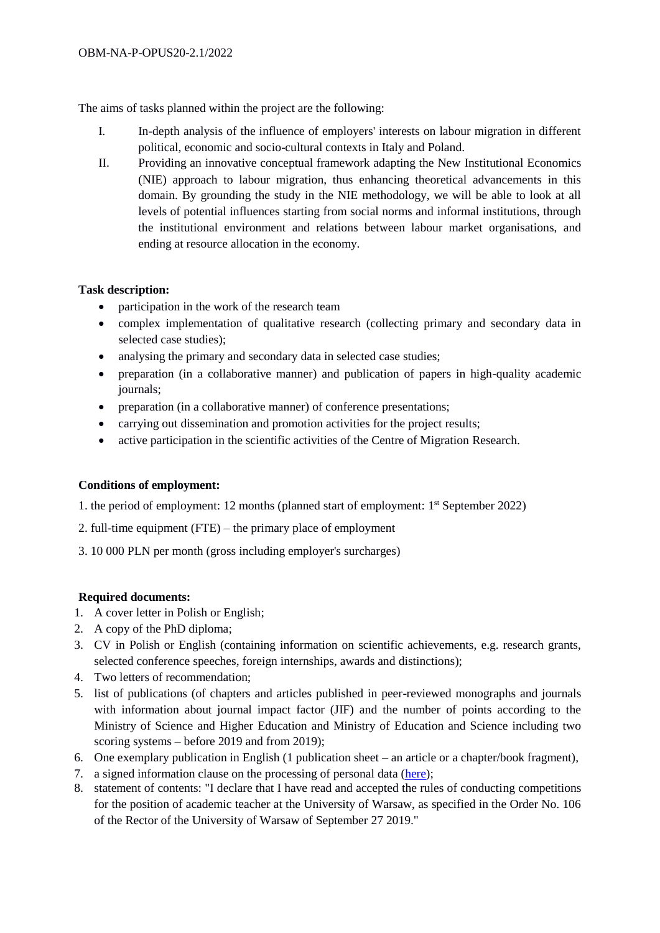The aims of tasks planned within the project are the following:

- I. In-depth analysis of the influence of employers' interests on labour migration in different political, economic and socio-cultural contexts in Italy and Poland.
- II. Providing an innovative conceptual framework adapting the New Institutional Economics (NIE) approach to labour migration, thus enhancing theoretical advancements in this domain. By grounding the study in the NIE methodology, we will be able to look at all levels of potential influences starting from social norms and informal institutions, through the institutional environment and relations between labour market organisations, and ending at resource allocation in the economy.

# **Task description:**

- participation in the work of the research team
- complex implementation of qualitative research (collecting primary and secondary data in selected case studies);
- analysing the primary and secondary data in selected case studies;
- preparation (in a collaborative manner) and publication of papers in high-quality academic journals;
- preparation (in a collaborative manner) of conference presentations;
- carrying out dissemination and promotion activities for the project results;
- active participation in the scientific activities of the Centre of Migration Research.

# **Conditions of employment:**

- 1. the period of employment: 12 months (planned start of employment: 1<sup>st</sup> September 2022)
- 2. full-time equipment (FTE) the primary place of employment
- 3. 10 000 PLN per month (gross including employer's surcharges)

# **Required documents:**

- 1. A cover letter in Polish or English;
- 2. A copy of the PhD diploma;
- 3. CV in Polish or English (containing information on scientific achievements, e.g. research grants, selected conference speeches, foreign internships, awards and distinctions);
- 4. Two letters of recommendation;
- 5. list of publications (of chapters and articles published in peer-reviewed monographs and journals with information about journal impact factor (JIF) and the number of points according to the Ministry of Science and Higher Education and Ministry of Education and Science including two scoring systems – before 2019 and from 2019);
- 6. One exemplary publication in English (1 publication sheet an article or a chapter/book fragment),
- 7. a signed information clause on the processing of personal data [\(here\)](https://www.migracje.uw.edu.pl/wp-content/uploads/2022/02/Klauzula-informacyjna-przy-rekrutacji-do-pracy_11_2019_EN.pdf);
- 8. statement of contents: "I declare that I have read and accepted the rules of conducting competitions for the position of academic teacher at the University of Warsaw, as specified in the Order No. 106 of the Rector of the University of Warsaw of September 27 2019."